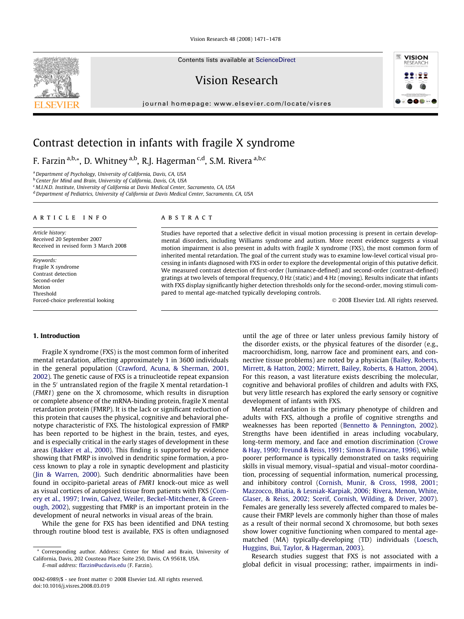Vision Research 48 (2008) 1471–1478

Contents lists available at [ScienceDirect](http://www.sciencedirect.com/science/journal/00426989)

Vision Research

journal homepage: [www.elsevier.com/locate/visres](http://www.elsevier.com/locate/visres)





# Contrast detection in infants with fragile X syndrome

F. Farzin<sup>a,b,\*</sup>, D. Whitney<sup>a,b</sup>, R.J. Hagerman<sup>c,d</sup>, S.M. Rivera<sup>a,b,c</sup>

<sup>a</sup> Department of Psychology, University of California, Davis, CA, USA

**b Center for Mind and Brain, University of California, Davis, CA, USA** 

<sup>c</sup> M.I.N.D. Institute, University of California at Davis Medical Center, Sacramento, CA, USA

<sup>d</sup> Department of Pediatrics, University of California at Davis Medical Center, Sacramento, CA, USA

#### article info

Article history: Received 20 September 2007 Received in revised form 3 March 2008

Keywords: Fragile X syndrome Contrast detection Second-order Motion Threshold Forced-choice preferential looking

## **ABSTRACT**

Studies have reported that a selective deficit in visual motion processing is present in certain developmental disorders, including Williams syndrome and autism. More recent evidence suggests a visual motion impairment is also present in adults with fragile X syndrome (FXS), the most common form of inherited mental retardation. The goal of the current study was to examine low-level cortical visual processing in infants diagnosed with FXS in order to explore the developmental origin of this putative deficit. We measured contrast detection of first-order (luminance-defined) and second-order (contrast-defined) gratings at two levels of temporal frequency, 0 Hz (static) and 4 Hz (moving). Results indicate that infants with FXS display significantly higher detection thresholds only for the second-order, moving stimuli compared to mental age-matched typically developing controls.

- 2008 Elsevier Ltd. All rights reserved.

# 1. Introduction

Fragile X syndrome (FXS) is the most common form of inherited mental retardation, affecting approximately 1 in 3600 individuals in the general population ([Crawford, Acuna, & Sherman, 2001,](#page-6-0) [2002](#page-6-0)). The genetic cause of FXS is a trinucleotide repeat expansion in the 5' untranslated region of the fragile X mental retardation-1 (FMR1) gene on the X chromosome, which results in disruption or complete absence of the mRNA-binding protein, fragile X mental retardation protein (FMRP). It is the lack or significant reduction of this protein that causes the physical, cognitive and behavioral phenotype characteristic of FXS. The histological expression of FMRP has been reported to be highest in the brain, testes, and eyes, and is especially critical in the early stages of development in these areas [\(Bakker et al., 2000](#page-6-0)). This finding is supported by evidence showing that FMRP is involved in dendritic spine formation, a process known to play a role in synaptic development and plasticity ([Jin & Warren, 2000\)](#page-6-0). Such dendritic abnormalities have been found in occipito-parietal areas of FMR1 knock-out mice as well as visual cortices of autopsied tissue from patients with FXS [\(Com](#page-6-0)[ery et al., 1997; Irwin, Galvez, Weiler, Beckel-Mitchener, & Green](#page-6-0)[ough, 2002](#page-6-0)), suggesting that FMRP is an important protein in the development of neural networks in visual areas of the brain.

While the gene for FXS has been identified and DNA testing through routine blood test is available, FXS is often undiagnosed until the age of three or later unless previous family history of the disorder exists, or the physical features of the disorder (e.g., macroorchidism, long, narrow face and prominent ears, and connective tissue problems) are noted by a physician ([Bailey, Roberts,](#page-6-0) [Mirrett, & Hatton, 2002; Mirrett, Bailey, Roberts, & Hatton, 2004\)](#page-6-0). For this reason, a vast literature exists describing the molecular, cognitive and behavioral profiles of children and adults with FXS, but very little research has explored the early sensory or cognitive development of infants with FXS.

Mental retardation is the primary phenotype of children and adults with FXS, although a profile of cognitive strengths and weaknesses has been reported ([Bennetto & Pennington, 2002\)](#page-6-0). Strengths have been identified in areas including vocabulary, long-term memory, and face and emotion discrimination [\(Crowe](#page-6-0) [& Hay, 1990; Freund & Reiss, 1991; Simon & Finucane, 1996\)](#page-6-0), while poorer performance is typically demonstrated on tasks requiring skills in visual memory, visual–spatial and visual–motor coordination, processing of sequential information, numerical processing, and inhibitory control [\(Cornish, Munir, & Cross, 1998, 2001;](#page-6-0) [Mazzocco, Bhatia, & Lesniak-Karpiak, 2006; Rivera, Menon, White,](#page-6-0) [Glaser, & Reiss, 2002; Scerif, Cornish, Wilding, & Driver, 2007\)](#page-6-0). Females are generally less severely affected compared to males because their FMRP levels are commonly higher than those of males as a result of their normal second X chromosome, but both sexes show lower cognitive functioning when compared to mental agematched (MA) typically-developing (TD) individuals [\(Loesch,](#page-6-0) [Huggins, Bui, Taylor, & Hagerman, 2003](#page-6-0)).

Research studies suggest that FXS is not associated with a global deficit in visual processing; rather, impairments in indi-

<sup>\*</sup> Corresponding author. Address: Center for Mind and Brain, University of California, Davis, 202 Cousteau Place Suite 250, Davis, CA 95618, USA.

E-mail address: [ffarzin@ucdavis.edu](mailto:ffarzin@ucdavis.edu) (F. Farzin).

<sup>0042-6989/\$ -</sup> see front matter © 2008 Elsevier Ltd. All rights reserved. doi:10.1016/j.visres.2008.03.019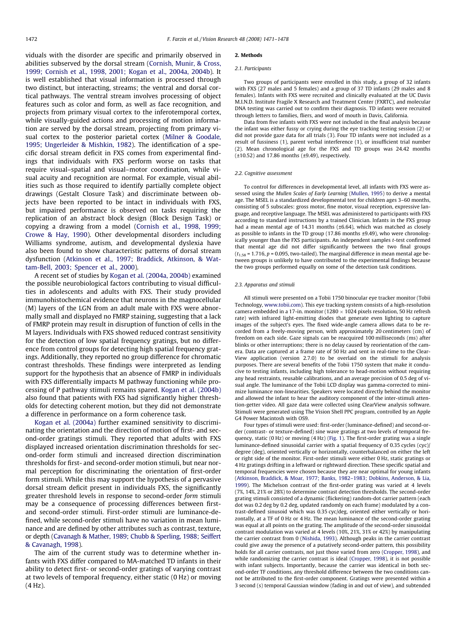viduals with the disorder are specific and primarily observed in abilities subserved by the dorsal stream ([Cornish, Munir, & Cross,](#page-6-0) [1999; Cornish et al., 1998, 2001; Kogan et al., 2004a, 2004b\)](#page-6-0). It is well established that visual information is processed through two distinct, but interacting, streams; the ventral and dorsal cortical pathways. The ventral stream involves processing of object features such as color and form, as well as face recognition, and projects from primary visual cortex to the inferotemporal cortex, while visually-guided actions and processing of motion information are served by the dorsal stream, projecting from primary visual cortex to the posterior parietal cortex [\(Milner & Goodale,](#page-6-0) [1995; Ungerleider & Mishkin, 1982](#page-6-0)). The identification of a specific dorsal stream deficit in FXS comes from experimental findings that individuals with FXS perform worse on tasks that require visual–spatial and visual–motor coordination, while visual acuity and recognition are normal. For example, visual abilities such as those required to identify partially complete object drawings (Gestalt Closure Task) and discriminate between objects have been reported to be intact in individuals with FXS, but impaired performance is observed on tasks requiring the replication of an abstract block design (Block Design Task) or copying a drawing from a model [\(Cornish et al., 1998, 1999;](#page-6-0) [Crowe & Hay, 1990](#page-6-0)). Other developmental disorders including Williams syndrome, autism, and developmental dyslexia have also been found to show characteristic patterns of dorsal stream dysfunction ([Atkinson et al., 1997; Braddick, Atkinson, & Wat](#page-6-0)[tam-Bell, 2003; Spencer et al., 2000](#page-6-0)).

A recent set of studies by [Kogan et al. \(2004a, 2004b\)](#page-6-0) examined the possible neurobiological factors contributing to visual difficulties in adolescents and adults with FXS. Their study provided immunohistochemical evidence that neurons in the magnocellular (M) layers of the LGN from an adult male with FXS were abnormally small and displayed no FMRP staining, suggesting that a lack of FMRP protein may result in disruption of function of cells in the M layers. Individuals with FXS showed reduced contrast sensitivity for the detection of low spatial frequency gratings, but no difference from control groups for detecting high spatial frequency gratings. Additionally, they reported no group difference for chromatic contrast thresholds. These findings were interpreted as lending support for the hypothesis that an absence of FMRP in individuals with FXS differentially impacts M pathway functioning while processing of P pathway stimuli remains spared. [Kogan et al. \(2004b\)](#page-6-0) also found that patients with FXS had significantly higher thresholds for detecting coherent motion, but they did not demonstrate a difference in performance on a form coherence task.

[Kogan et al. \(2004a\)](#page-6-0) further examined sensitivity to discriminating the orientation and the direction of motion of first- and second-order gratings stimuli. They reported that adults with FXS displayed increased orientation discrimination thresholds for second-order form stimuli and increased direction discrimination thresholds for first- and second-order motion stimuli, but near normal perception for discriminating the orientation of first-order form stimuli. While this may support the hypothesis of a pervasive dorsal stream deficit present in individuals FXS, the significantly greater threshold levels in response to second-order form stimuli may be a consequence of processing differences between firstand second-order stimuli. First-order stimuli are luminance-defined, while second-order stimuli have no variation in mean luminance and are defined by other attributes such as contrast, texture, or depth [\(Cavanagh & Mather, 1989; Chubb & Sperling, 1988; Seiffert](#page-6-0) [& Cavanagh, 1998](#page-6-0)).

The aim of the current study was to determine whether infants with FXS differ compared to MA-matched TD infants in their ability to detect first- or second-order gratings of varying contrast at two levels of temporal frequency, either static (0 Hz) or moving  $(4 Hz)$ .

#### 2. Methods

#### 2.1. Participants

Two groups of participants were enrolled in this study, a group of 32 infants with FXS (27 males and 5 females) and a group of 37 TD infants (29 males and 8 females). Infants with FXS were recruited and clinically evaluated at the UC Davis M.I.N.D. Institute Fragile X Research and Treatment Center (FXRTC), and molecular DNA testing was carried out to confirm their diagnosis. TD infants were recruited through letters to families, fliers, and word of mouth in Davis, California.

Data from five infants with FXS were not included in the final analysis because the infant was either fussy or crying during the eye tracking testing session (2) or did not provide gaze data for all trials (3). Four TD infants were not included as a result of fussiness (1), parent verbal interference (1), or insufficient trial number (2). Mean chronological age for the FXS and TD groups was 24.42 months  $(\pm 10.52)$  and 17.86 months  $(\pm 9.49)$ , respectively.

#### 2.2. Cognitive assessment

To control for differences in developmental level, all infants with FXS were assessed using the Mullen Scales of Early Learning ([Mullen, 1995](#page-6-0)) to derive a mental age. The MSEL is a standardized developmental test for children ages 3–60 months, consisting of 5 subscales: gross motor, fine motor, visual reception, expressive language, and receptive language. The MSEL was administered to participants with FXS according to standard instructions by a trained Clinician. Infants in the FXS group had a mean mental age of 14.31 months (±6.64), which was matched as closely as possible to infants in the TD group (17.86 months ±9.49), who were chronologically younger than the FXS participants. An independent samples t-test confirmed that mental age did not differ significantly between the two final groups  $(t_{1.58} = 1.716, p = 0.095,$  two-tailed). The marginal difference in mean mental age between groups is unlikely to have contributed to the experimental findings because the two groups performed equally on some of the detection task conditions.

#### 2.3. Apparatus and stimuli

All stimuli were presented on a Tobii 1750 binocular eye tracker monitor (Tobii Technology, [www.tobii.com](http://www.tobii.com)). This eye tracking system consists of a high-resolution camera embedded in a 17-in. monitor (1280  $\times$  1024 pixels resolution, 50 Hz refresh rate) with infrared light-emitting diodes that generate even lighting to capture images of the subject's eyes. The fixed wide-angle camera allows data to be recorded from a freely-moving person, with approximately 20 centimeters (cm) of freedom on each side. Gaze signals can be reacquired 100 milliseconds (ms) after blinks or other interruptions; there is no delay caused by reorientation of the camera. Data are captured at a frame rate of 50 Hz and sent in real-time to the Clear-View application (version 2.7.0) to be overlaid on the stimuli for analysis purposes. There are several benefits of the Tobii 1750 system that make it conducive to testing infants, including high tolerance to head-motion without requiring any head restraints, reusable calibrations, and an average precision of 0.5 deg of visual angle. The luminance of the Tobii LCD display was gamma-corrected to minimize luminance non-linearities. Speakers were located directly behind the monitor and allowed the infant to hear the auditory component of the inter-stimuli attention-getter video. All gaze data were collected using ClearView analysis software. Stimuli were generated using The Vision Shell PPC program, controlled by an Apple G4 Power Macintosh with OS9.

Four types of stimuli were used: first-order (luminance-defined) and second-order (contrast- or texture-defined) sine wave gratings at two levels of temporal frequency, static (0 Hz) or moving (4 Hz) ([Fig. 1](#page-2-0)). The first-order grating was a single luminance-defined sinusoidal carrier with a spatial frequency of 0.35 cycles (cyc)/ degree (deg), oriented vertically or horizontally, counterbalanced on either the left or right side of the monitor. First-order stimuli were either 0 Hz, static gratings or 4 Hz gratings drifting in a leftward or rightward direction. These specific spatial and temporal frequencies were chosen because they are near optimal for young infants [\(Atkinson, Braddick, & Moar, 1977; Banks, 1982–1983; Dobkins, Anderson, & Lia,](#page-5-0) [1999\)](#page-5-0). The Michelson contrast of the first-order grating was varied at 4 levels (7%, 14%, 21% or 28%) to determine contrast detection thresholds. The second-order grating stimuli consisted of a dynamic (flickering) random-dot carrier pattern (each dot was 0.2 deg by 0.2 deg, updated randomly on each frame) modulated by a contrast-defined sinusoid which was 0.35 cyc/deg, oriented either vertically or horizontally, at a TF of 0 Hz or 4 Hz. The mean luminance of the second-order grating was equal at all points on the grating. The amplitude of the second-order sinusoidal contrast modulation was varied at 4 levels (10%, 21%, 31% or 42%) by manipulating the carrier contrast from 0 [\(Nishida, 1993](#page-6-0)). Although peaks in the carrier contrast could give away the presence of a putatively second-order pattern, this possibility holds for all carrier contrasts, not just those varied from zero ([Cropper, 1998\)](#page-6-0), and while randomizing the carrier contrast is ideal [\(Cropper, 1998\)](#page-6-0), it is not possible with infant subjects. Importantly, because the carrier was identical in both second-order TF conditions, any threshold difference between the two conditions cannot be attributed to the first-order component. Gratings were presented within a 3 second (s) temporal Gaussian window (fading in and out of view), and subtended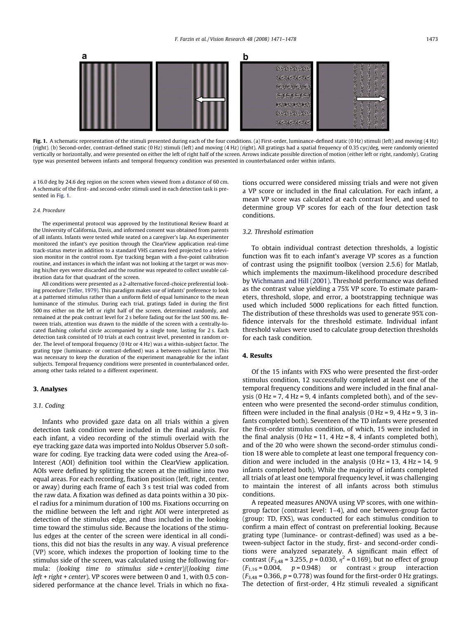<span id="page-2-0"></span>

Fig. 1. A schematic representation of the stimuli presented during each of the four conditions. (a) First-order, luminance-defined static (0 Hz) stimuli (left) and moving (4 Hz) (right). (b) Second-order, contrast-defined static (0 Hz) stimuli (left) and moving (4 Hz) (right). All gratings had a spatial frequency of 0.35 cyc/deg, were randomly oriented vertically or horizontally, and were presented on either the left of right half of the screen. Arrows indicate possible direction of motion (either left or right, randomly). Grating type was presented between infants and temporal frequency condition was presented in counterbalanced order within infants.

a 16.0 deg by 24.6 deg region on the screen when viewed from a distance of 60 cm. A schematic of the first- and second-order stimuli used in each detection task is presented in Fig. 1.

#### 2.4. Procedure

The experimental protocol was approved by the Institutional Review Board at the University of California, Davis, and informed consent was obtained from parents of all infants. Infants were tested while seated on a caregiver's lap. An experimenter monitored the infant's eye position through the ClearView application real-time track-status meter in addition to a standard VHS camera feed projected to a television monitor in the control room. Eye tracking began with a five-point calibration routine, and instances in which the infant was not looking at the target or was moving his/her eyes were discarded and the routine was repeated to collect useable calibration data for that quadrant of the screen.

All conditions were presented as a 2-alternative forced-choice preferential looking procedure [\(Teller, 1979](#page-7-0)). This paradigm makes use of infants' preference to look at a patterned stimulus rather than a uniform field of equal luminance to the mean luminance of the stimulus. During each trial, gratings faded in during the first 500 ms either on the left or right half of the screen, determined randomly, and remained at the peak contrast level for 2 s before fading out for the last 500 ms. Between trials, attention was drawn to the middle of the screen with a centrally-located flashing colorful circle accompanied by a single tone, lasting for 2 s. Each detection task consisted of 10 trials at each contrast level, presented in random order. The level of temporal frequency (0 Hz or 4 Hz) was a within-subject factor. The grating type (luminance- or contrast-defined) was a between-subject factor. This was necessary to keep the duration of the experiment manageable for the infant subjects. Temporal frequency conditions were presented in counterbalanced order, among other tasks related to a different experiment.

# 3. Analyses

#### 3.1. Coding

Infants who provided gaze data on all trials within a given detection task condition were included in the final analysis. For each infant, a video recording of the stimuli overlaid with the eye tracking gaze data was imported into Noldus Observer 5.0 software for coding. Eye tracking data were coded using the Area-of-Interest (AOI) definition tool within the ClearView application. AOIs were defined by splitting the screen at the midline into two equal areas. For each recording, fixation position (left, right, center, or away) during each frame of each 3 s test trial was coded from the raw data. A fixation was defined as data points within a 30 pixel radius for a minimum duration of 100 ms. Fixations occurring on the midline between the left and right AOI were interpreted as detection of the stimulus edge, and thus included in the looking time toward the stimulus side. Because the locations of the stimulus edges at the center of the screen were identical in all conditions, this did not bias the results in any way. A visual preference (VP) score, which indexes the proportion of looking time to the stimulus side of the screen, was calculated using the following formula: (looking time to stimulus side + center)/(looking time left + right + center). VP scores were between 0 and 1, with 0.5 considered performance at the chance level. Trials in which no fixations occurred were considered missing trials and were not given a VP score or included in the final calculation. For each infant, a mean VP score was calculated at each contrast level, and used to determine group VP scores for each of the four detection task conditions.

# 3.2. Threshold estimation

To obtain individual contrast detection thresholds, a logistic function was fit to each infant's average VP scores as a function of contrast using the psignifit toolbox (version 2.5.6) for Matlab, which implements the maximum-likelihood procedure described by [Wichmann and Hill \(2001\)](#page-7-0). Threshold performance was defined as the contrast value yielding a 75% VP score. To estimate parameters, threshold, slope, and error, a bootstrapping technique was used which included 5000 replications for each fitted function. The distribution of these thresholds was used to generate 95% confidence intervals for the threshold estimate. Individual infant threshold values were used to calculate group detection thresholds for each task condition.

# 4. Results

Of the 15 infants with FXS who were presented the first-order stimulus condition, 12 successfully completed at least one of the temporal frequency conditions and were included in the final analysis (0 Hz = 7, 4 Hz = 9, 4 infants completed both), and of the seventeen who were presented the second-order stimulus condition, fifteen were included in the final analysis ( $0$  Hz = 9, 4 Hz = 9, 3 infants completed both). Seventeen of the TD infants were presented the first-order stimulus condition, of which, 15 were included in the final analysis (0 Hz = 11, 4 Hz = 8, 4 infants completed both), and of the 20 who were shown the second-order stimulus condition 18 were able to complete at least one temporal frequency condition and were included in the analysis  $(0 Hz = 13, 4 Hz = 14, 9)$ infants completed both). While the majority of infants completed all trials of at least one temporal frequency level, it was challenging to maintain the interest of all infants across both stimulus conditions.

A repeated measures ANOVA using VP scores, with one withingroup factor (contrast level: 1–4), and one between-group factor (group: TD, FXS), was conducted for each stimulus condition to confirm a main effect of contrast on preferential looking. Because grating type (luminance- or contrast-defined) was used as a between-subject factor in the study, first- and second-order conditions were analyzed separately. A significant main effect of contrast ( $F_{3,48}$  = 3.255, p = 0.030,  $\eta^2$  = 0.169), but no effect of group  $(F_{1,16}$  = 0.004,  $\quad p$  = 0.948) or contrast  $\times$  group interaction  $(F<sub>3.48</sub> = 0.366, p = 0.778)$  was found for the first-order 0 Hz gratings. The detection of first-order, 4 Hz stimuli revealed a significant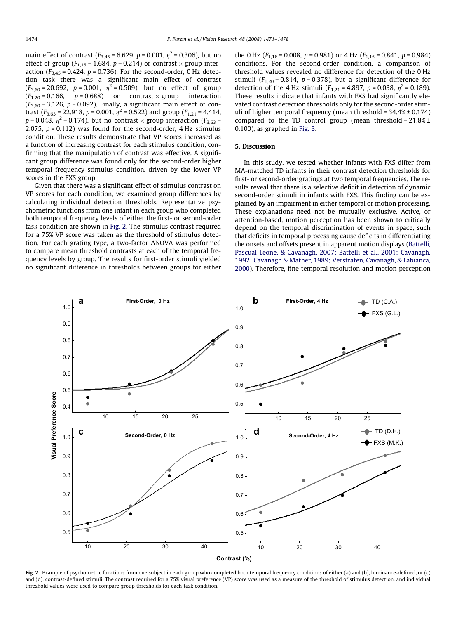main effect of contrast ( $F_{3,45}$  = 6.629, p = 0.001,  $\eta^2$  = 0.306), but no effect of group ( $F_{1,15}$  = 1.684,  $p$  = 0.214) or contrast  $\times$  group interaction ( $F_{3,45}$  = 0.424,  $p$  = 0.736). For the second-order, 0 Hz detection task there was a significant main effect of contrast  $(F_{3,60} = 20.692, p = 0.001, \eta^2 = 0.509)$ , but no effect of group ( $F_{1,20}$  = 0.166,  $\quad p$  = 0.688) or contrast  $\times$  group interaction  $(F_{3,60} = 3.126, p = 0.092)$ . Finally, a significant main effect of contrast ( $F_{3,63}$  = 22.918, p = 0.001,  $\eta$ <sup>2</sup> = 0.522) and group ( $F_{1,21}$  = 4.414,  $p$  = 0.048,  $\eta^2$  = 0.174), but no contrast  $\times$  group interaction (F<sub>3,63</sub> = 2.075,  $p = 0.112$ ) was found for the second-order, 4 Hz stimulus condition. These results demonstrate that VP scores increased as a function of increasing contrast for each stimulus condition, confirming that the manipulation of contrast was effective. A significant group difference was found only for the second-order higher temporal frequency stimulus condition, driven by the lower VP scores in the FXS group.

Given that there was a significant effect of stimulus contrast on VP scores for each condition, we examined group differences by calculating individual detection thresholds. Representative psychometric functions from one infant in each group who completed both temporal frequency levels of either the first- or second-order task condition are shown in Fig. 2. The stimulus contrast required for a 75% VP score was taken as the threshold of stimulus detection. For each grating type, a two-factor ANOVA was performed to compare mean threshold contrasts at each of the temporal frequency levels by group. The results for first-order stimuli yielded no significant difference in thresholds between groups for either the 0 Hz  $(F_{1,16} = 0.008, p = 0.981)$  or 4 Hz  $(F_{1,15} = 0.841, p = 0.984)$ conditions. For the second-order condition, a comparison of threshold values revealed no difference for detection of the 0 Hz stimuli ( $F_{1,20}$  = 0.814, p = 0.378), but a significant difference for detection of the 4 Hz stimuli ( $F_{1,21}$  = 4.897, p = 0.038,  $\eta^2$  = 0.189). These results indicate that infants with FXS had significantly elevated contrast detection thresholds only for the second-order stimuli of higher temporal frequency (mean threshold =  $34.4% \pm 0.174$ ) compared to the TD control group (mean threshold =  $21.8\% \pm$ 0.100), as graphed in [Fig. 3.](#page-4-0)

#### 5. Discussion

In this study, we tested whether infants with FXS differ from MA-matched TD infants in their contrast detection thresholds for first- or second-order gratings at two temporal frequencies. The results reveal that there is a selective deficit in detection of dynamic second-order stimuli in infants with FXS. This finding can be explained by an impairment in either temporal or motion processing. These explanations need not be mutually exclusive. Active, or attention-based, motion perception has been shown to critically depend on the temporal discrimination of events in space, such that deficits in temporal processing cause deficits in differentiating the onsets and offsets present in apparent motion displays ([Battelli,](#page-6-0) [Pascual-Leone, & Cavanagh, 2007; Battelli et al., 2001; Cavanagh,](#page-6-0) [1992; Cavanagh & Mather, 1989; Verstraten, Cavanagh, & Labianca,](#page-6-0) [2000](#page-6-0)). Therefore, fine temporal resolution and motion perception



Fig. 2. Example of psychometric functions from one subject in each group who completed both temporal frequency conditions of either (a) and (b), luminance-defined, or (c) and (d), contrast-defined stimuli. The contrast required for a 75% visual preference (VP) score was used as a measure of the threshold of stimulus detection, and individual threshold values were used to compare group thresholds for each task condition.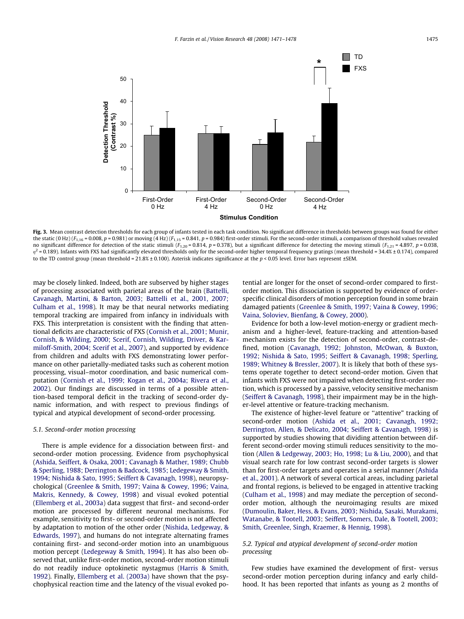<span id="page-4-0"></span>

Fig. 3. Mean contrast detection thresholds for each group of infants tested in each task condition. No significant difference in thresholds between groups was found for either the static (0 Hz)  $(F_{1,16} = 0.008$ ,  $p = 0.981$  or moving (4 Hz)  $(F_{1,15} = 0.841$ ,  $p = 0.984$  first-order stimuli. For the second-order stimuli, a comparison of threshold values revealed no significant difference for detection of the static stimuli ( $F_{1,20}$  = 0.814, p = 0.378), but a significant difference for detecting the moving stimuli ( $F_{1,21}$  = 4.897, p = 0.038,  $\eta^2$  = 0.189). Infants with FXS had significantly elevated thresholds only for the second-order higher temporal frequency gratings (mean threshold = 34.4% ± 0.174), compared to the TD control group (mean threshold = 21.8% ± 0.100). Asterisk indicates significance at the p < 0.05 level. Error bars represent ±SEM.

may be closely linked. Indeed, both are subserved by higher stages of processing associated with parietal areas of the brain ([Battelli,](#page-6-0) [Cavanagh, Martini, & Barton, 2003; Battelli et al., 2001, 2007;](#page-6-0) [Culham et al., 1998](#page-6-0)). It may be that neural networks mediating temporal tracking are impaired from infancy in individuals with FXS. This interpretation is consistent with the finding that attentional deficits are characteristic of FXS [\(Cornish et al., 2001; Munir,](#page-6-0) [Cornish, & Wilding, 2000; Scerif, Cornish, Wilding, Driver, & Kar](#page-6-0)[miloff-Smith, 2004; Scerif et al., 2007](#page-6-0)), and supported by evidence from children and adults with FXS demonstrating lower performance on other parietally-mediated tasks such as coherent motion processing, visual–motor coordination, and basic numerical computation [\(Cornish et al., 1999; Kogan et al., 2004a; Rivera et al.,](#page-6-0) [2002](#page-6-0)). Our findings are discussed in terms of a possible attention-based temporal deficit in the tracking of second-order dynamic information, and with respect to previous findings of typical and atypical development of second-order processing.

## 5.1. Second-order motion processing

There is ample evidence for a dissociation between first- and second-order motion processing. Evidence from psychophysical ([Ashida, Seiffert, & Osaka, 2001; Cavanagh & Mather, 1989; Chubb](#page-5-0) [& Sperling, 1988; Derrington & Badcock, 1985; Ledegeway & Smith,](#page-5-0) [1994; Nishida & Sato, 1995; Seiffert & Cavanagh, 1998\)](#page-5-0), neuropsychological [\(Greenlee & Smith, 1997; Vaina & Cowey, 1996; Vaina,](#page-6-0) [Makris, Kennedy, & Cowey, 1998](#page-6-0)) and visual evoked potential ([Ellemberg et al., 2003a](#page-6-0)) data suggest that first- and second-order motion are processed by different neuronal mechanisms. For example, sensitivity to first- or second-order motion is not affected by adaptation to motion of the other order [\(Nishida, Ledgeway, &](#page-6-0) [Edwards, 1997](#page-6-0)), and humans do not integrate alternating frames containing first- and second-order motion into an unambiguous motion percept ([Ledegeway & Smith, 1994](#page-6-0)). It has also been observed that, unlike first-order motion, second-order motion stimuli do not readily induce optokinetic nystagmus [\(Harris & Smith,](#page-6-0) [1992\)](#page-6-0). Finally, [Ellemberg et al. \(2003a\)](#page-6-0) have shown that the psychophysical reaction time and the latency of the visual evoked potential are longer for the onset of second-order compared to firstorder motion. This dissociation is supported by evidence of orderspecific clinical disorders of motion perception found in some brain damaged patients [\(Greenlee & Smith, 1997; Vaina & Cowey, 1996;](#page-6-0) [Vaina, Soloviev, Bienfang, & Cowey, 2000\)](#page-6-0).

Evidence for both a low-level motion-energy or gradient mechanism and a higher-level, feature-tracking and attention-based mechanism exists for the detection of second-order, contrast-defined, motion ([Cavanagh, 1992; Johnston, McOwan, & Buxton,](#page-6-0) [1992; Nishida & Sato, 1995; Seiffert & Cavanagh, 1998; Sperling,](#page-6-0) [1989; Whitney & Bressler, 2007\)](#page-6-0). It is likely that both of these systems operate together to detect second-order motion. Given that infants with FXS were not impaired when detecting first-order motion, which is processed by a passive, velocity sensitive mechanism ([Seiffert & Cavanagh, 1998](#page-6-0)), their impairment may be in the higher-level attentive or feature-tracking mechanism.

The existence of higher-level feature or ''attentive" tracking of second-order motion ([Ashida et al., 2001; Cavanagh, 1992;](#page-5-0) [Derrington, Allen, & Delicato, 2004; Seiffert & Cavanagh, 1998](#page-5-0)) is supported by studies showing that dividing attention between different second-order moving stimuli reduces sensitivity to the motion [\(Allen & Ledgeway, 2003; Ho, 1998; Lu & Liu, 2000](#page-5-0)), and that visual search rate for low contrast second-order targets is slower than for first-order targets and operates in a serial manner [\(Ashida](#page-5-0) [et al., 2001](#page-5-0)). A network of several cortical areas, including parietal and frontal regions, is believed to be engaged in attentive tracking ([Culham et al., 1998](#page-6-0)) and may mediate the perception of secondorder motion, although the neuroimaging results are mixed ([Dumoulin, Baker, Hess, & Evans, 2003; Nishida, Sasaki, Murakami,](#page-6-0) [Watanabe, & Tootell, 2003; Seiffert, Somers, Dale, & Tootell, 2003;](#page-6-0) [Smith, Greenlee, Singh, Kraemer, & Hennig, 1998\)](#page-6-0).

# 5.2. Typical and atypical development of second-order motion processing

Few studies have examined the development of first- versus second-order motion perception during infancy and early childhood. It has been reported that infants as young as 2 months of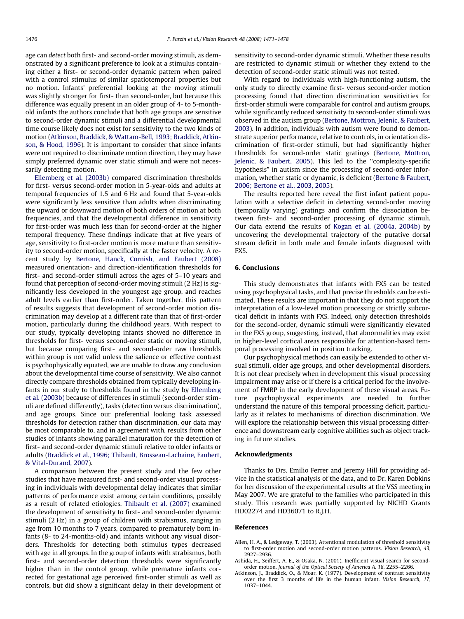<span id="page-5-0"></span>age can detect both first- and second-order moving stimuli, as demonstrated by a significant preference to look at a stimulus containing either a first- or second-order dynamic pattern when paired with a control stimulus of similar spatiotemporal properties but no motion. Infants' preferential looking at the moving stimuli was slightly stronger for first- than second-order, but because this difference was equally present in an older group of 4- to 5-monthold infants the authors conclude that both age groups are sensitive to second-order dynamic stimuli and a differential developmental time course likely does not exist for sensitivity to the two kinds of motion [\(Atkinson, Braddick, & Wattam-Bell, 1993; Braddick, Atkin](#page-6-0)[son, & Hood, 1996\)](#page-6-0). It is important to consider that since infants were not required to discriminate motion direction, they may have simply preferred dynamic over static stimuli and were not necessarily detecting motion.

[Ellemberg et al. \(2003b\)](#page-6-0) compared discrimination thresholds for first- versus second-order motion in 5-year-olds and adults at temporal frequencies of 1.5 and 6 Hz and found that 5-year-olds were significantly less sensitive than adults when discriminating the upward or downward motion of both orders of motion at both frequencies, and that the developmental difference in sensitivity for first-order was much less than for second-order at the higher temporal frequency. These findings indicate that at five years of age, sensitivity to first-order motion is more mature than sensitivity to second-order motion, specifically at the faster velocity. A recent study by [Bertone, Hanck, Cornish, and Faubert \(2008\)](#page-6-0) measured orientation- and direction-identification thresholds for first- and second-order stimuli across the ages of 5–10 years and found that perception of second-order moving stimuli (2 Hz) is significantly less developed in the youngest age group, and reaches adult levels earlier than first-order. Taken together, this pattern of results suggests that development of second-order motion discrimination may develop at a different rate than that of first-order motion, particularly during the childhood years. With respect to our study, typically developing infants showed no difference in thresholds for first- versus second-order static or moving stimuli, but because comparing first- and second-order raw thresholds within group is not valid unless the salience or effective contrast is psychophysically equated, we are unable to draw any conclusion about the developmental time course of sensitivity. We also cannot directly compare thresholds obtained from typically developing infants in our study to thresholds found in the study by [Ellemberg](#page-6-0) [et al. \(2003b\)](#page-6-0) because of differences in stimuli (second-order stimuli are defined differently), tasks (detection versus discrimination), and age groups. Since our preferential looking task assessed thresholds for detection rather than discrimination, our data may be most comparable to, and in agreement with, results from other studies of infants showing parallel maturation for the detection of first- and second-order dynamic stimuli relative to older infants or adults [\(Braddick et al., 1996; Thibault, Brosseau-Lachaine, Faubert,](#page-6-0) [& Vital-Durand, 2007\)](#page-6-0).

A comparison between the present study and the few other studies that have measured first- and second-order visual processing in individuals with developmental delay indicates that similar patterns of performance exist among certain conditions, possibly as a result of related etiologies. [Thibault et al. \(2007\)](#page-7-0) examined the development of sensitivity to first- and second-order dynamic stimuli (2 Hz) in a group of children with strabismus, ranging in age from 10 months to 7 years, compared to prematurely born infants (8- to 24-months-old) and infants without any visual disorders. Thresholds for detecting both stimulus types decreased with age in all groups. In the group of infants with strabismus, both first- and second-order detection thresholds were significantly higher than in the control group, while premature infants corrected for gestational age perceived first-order stimuli as well as controls, but did show a significant delay in their development of sensitivity to second-order dynamic stimuli. Whether these results are restricted to dynamic stimuli or whether they extend to the detection of second-order static stimuli was not tested.

With regard to individuals with high-functioning autism, the only study to directly examine first- versus second-order motion processing found that direction discrimination sensitivities for first-order stimuli were comparable for control and autism groups, while significantly reduced sensitivity to second-order stimuli was observed in the autism group [\(Bertone, Mottron, Jelenic, & Faubert,](#page-6-0) [2003\)](#page-6-0). In addition, individuals with autism were found to demonstrate superior performance, relative to controls, in orientation discrimination of first-order stimuli, but had significantly higher thresholds for second-order static gratings [\(Bertone, Mottron,](#page-6-0) [Jelenic, & Faubert, 2005](#page-6-0)). This led to the ''complexity-specific hypothesis" in autism since the processing of second-order information, whether static or dynamic, is deficient ([Bertone & Faubert,](#page-6-0) [2006; Bertone et al., 2003, 2005\)](#page-6-0).

The results reported here reveal the first infant patient population with a selective deficit in detecting second-order moving (temporally varying) gratings and confirm the dissociation between first- and second-order processing of dynamic stimuli. Our data extend the results of [Kogan et al. \(2004a, 2004b\)](#page-6-0) by uncovering the developmental trajectory of the putative dorsal stream deficit in both male and female infants diagnosed with FXS.

## 6. Conclusions

This study demonstrates that infants with FXS can be tested using psychophysical tasks, and that precise thresholds can be estimated. These results are important in that they do not support the interpretation of a low-level motion processing or strictly subcortical deficit in infants with FXS. Indeed, only detection thresholds for the second-order, dynamic stimuli were significantly elevated in the FXS group, suggesting, instead, that abnormalities may exist in higher-level cortical areas responsible for attention-based temporal processing involved in position tracking.

Our psychophysical methods can easily be extended to other visual stimuli, older age groups, and other developmental disorders. It is not clear precisely when in development this visual processing impairment may arise or if there is a critical period for the involvement of FMRP in the early development of these visual areas. Future psychophysical experiments are needed to further understand the nature of this temporal processing deficit, particularly as it relates to mechanisms of direction discrimination. We will explore the relationship between this visual processing difference and downstream early cognitive abilities such as object tracking in future studies.

# Acknowledgments

Thanks to Drs. Emilio Ferrer and Jeremy Hill for providing advice in the statistical analysis of the data, and to Dr. Karen Dobkins for her discussion of the experimental results at the VSS meeting in May 2007. We are grateful to the families who participated in this study. This research was partially supported by NICHD Grants HD02274 and HD36071 to R.J.H.

#### References

- Allen, H. A., & Ledgeway, T. (2003). Attentional modulation of threshold sensitivity to first-order motion and second-order motion patterns. Vision Research, 43, 2927–2936.
- Ashida, H., Seiffert, A. E., & Osaka, N. (2001). Inefficient visual search for secondorder motion. Journal of the Optical Society of America A, 18, 2255–2266.
- Atkinson, J., Braddick, O., & Moar, K. (1977). Development of contrast sensitivity over the first 3 months of life in the human infant. Vision Research, 17, 1037–1044.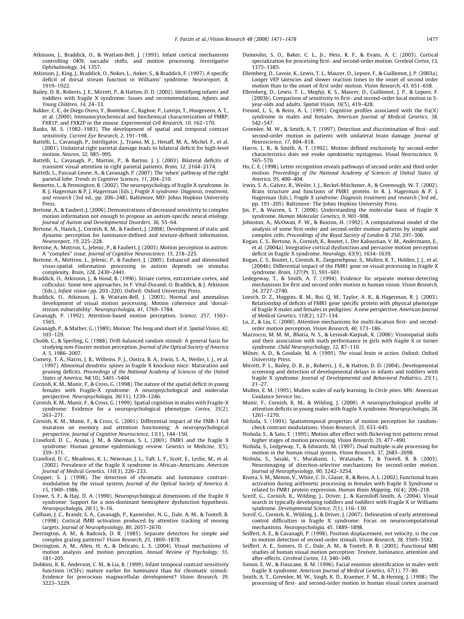- <span id="page-6-0"></span>Atkinson, J., Braddick, O., & Wattam-Bell, J. (1993). Infant cortical mechanisms controlling OKN, saccadic shifts, and motion processing. Investigative Ophthalmology, 34, 1357.
- Atkinson, J., King, J., Braddick, O., Nokes, L., Anker, S., & Braddick, F. (1997). A specific deficit of dorsal stream function in Williams' syndrome. Neuroreport, 8, 1919–1922.
- Bailey, D. B., Roberts, J. E., Mirrett, P., & Hatton, D. D. (2002). Identifying infants and toddlers with fragile X syndrome: Issues and recommendations. Infants and Young Children, 14, 24–33.
- Bakker, C. E., de Diego Otero, Y., Bontekoe, C., Raghoe, P., Luteijn, T., Hoogeveen, A. T., et al. (2000). Immunocytochemical and biochemical characterization of FMRP, FXR1P, and FXR2P in the mouse. Experimental Cell Research, 10, 162–170.
- Banks, M. S. (1982–1983). The development of spatial and temporal contrast sensitivity. Current Eye Research, 2, 191-198.
- Battelli, L., Cavanagh, P., Intriligator, J., Tramo, M. J., Henaff, M. A., Michel, F., et al. (2001). Unilateral right parietal damage leads to bilateral deficit for high-level motion. Neuron, 32, 985–995.
- Battelli, L., Cavanagh, P., Martini, P., & Barton, J. J. (2003). Bilateral deficits of transient visual attention in right parietal patients. Brain, 12, 2164–2174.
- Battelli, L., Pascual-Leone, A., & Cavanagh, P. (2007). The 'when' pathway of the right parietal lobe. Trends in Cognitive Sciences, 11, 204–210.
- Bennetto, L., & Pennington, B. (2002). The neuropsychology of fragile X syndrome. In R. J. Hagerman & P. J. Hagerman (Eds.), Fragile X syndrome: Diagnosis, treatment, and research (3rd ed., pp. 206–248). Baltimore, MD: Johns Hopkins University Press.
- Bertone, A., & Faubert, J. (2006). Demonstrations of decreased sensitivity to complex motion information not enough to propose an autism-specific neural etiology. Journal of Autism and Developmental Disorders, 36, 55–64.
- Bertone, A., Hanck, J., Cornish, K. M., & Faubert, J. (2008). Development of static and dynamic perception for luminance-defined and texture-defined information. Neuroreport, 19, 225–228.
- Bertone, A., Mottron, L., Jelenic, P., & Faubert, J. (2003). Motion perception in autism: A ''complex" issue. Journal of Cognitive Neuroscience, 15, 218–225.
- Bertone, A., Mottron, L., Jelenic, P., & Faubert, J. (2005). Enhanced and diminished visuo-spatial information processing in autism depends on stimulus complexity. Brain, 128, 2430–2441.
- Braddick, O., Atkinson, J., & Hood, B. (1996). Striate cortex, extrastriate cortex, and colliculus: Some new approaches. In F. Vital-Durand, O. Braddick, & J. Atkinson (Eds.), Infant vision (pp. 203–220). Oxford: Oxford University Press.
- Braddick, O., Atkinson, J., & Wattam-Bell, J. (2003). Normal and anomalous development of visual motion processing: Motion coherence and 'dorsalstream vulnerability'. Neuropsychologia, 41, 1769–1784.
- Cavanagh, P. (1992). Attention-based motion perception. Science, 257, 1563– 1565.
- Cavanagh, P., & Mather, G. (1989). Motion: The long and short of it. Spatial Vision, 42, 103–129.
- Chubb, C., & Sperling, G. (1988). Drift-balanced random stimuli: A general basis for studying non-Fourier motion perception. Journal of the Optical Society of America A, 5, 1986–2007.
- Comery, T. A., Harris, J. B., Willems, P. J., Oostra, B. A., Irwin, S. A., Weiler, I. J., et al. (1997). Abnormal dendritic spines in fragile X knockout mice: Maturation and pruning deficits. Proceedings of the National Academy of Sciences of the United States of America, 94(10), 5401–5404.
- Cornish, K. M., Munir, F., & Cross, G. (1998). The nature of the spatial deficit in young females with Fragile-X syndrome: A neuropsychological and molecular perspective. Neuropsychologia, 36(11), 1239–1246.
- Cornish, K. M., Munir, F., & Cross, G. (1999). Spatial cognition in males with Fragile-X syndrome: Evidence for a neuropsychological phenotype. Cortex, 35(2), 263–271.
- Cornish, K. M., Munir, F., & Cross, G. (2001). Differential impact of the FMR-1 full mutation on memory and attention functioning: A neuropsychological
- perspective. Journal of Cognitive Neuroscience, 13(1), 144–150. Crawford, D. C., Acuna, J. M., & Sherman, S. L. (2001). FMR1 and the fragile X syndrome: Human genome epidemiology review. Genetics in Medicine, 3(5), 359–371.
- Crawford, D. C., Meadows, K. L., Newman, J. L., Taft, L. F., Scott, E., Leslie, M., et al. (2002). Prevalence of the fragile X syndrome in African–Americans. American Journal of Medical Genetics, 110(3), 226–233.
- Cropper, S. J. (1998). The detection of chromatic and luminance contrastmodulation by the visual system. Journal of the Optical Society of America A, 15, 1969–1986.
- Crowe, S. F., & Hay, D. A. (1990). Neuropsychological dimensions of the fragile X syndrome: Support for a non-dominant hemisphere dysfunction hypothesis. Neuropsychologia, 28(1), 9–16.
- Culham, J. C., Brandt, S. A., Cavanagh, P., Kanwisher, N. G., Dale, A. M., & Tootell, B. (1998). Cortical fMRI activation produced by attentive tracking of moving targets. Journal of Neurophysiology, 80, 2657–2670.
- Derrington, A. M., & Badcock, D. R. (1985). Separate detectors for simple and complex grating patterns? Vision Research, 25, 1869–1878.
- Derrington, A. M., Allen, H. A., & Delicato, L. S. (2004). Visual mechanisms of motion analysis and motion perception. Annual Review of Psychology, 55, 181–205.
- Dobkins, K. R., Anderson, C. M., & Lia, B. (1999). Infant temporal contrast sensitivity functions (tCSFs) mature earlier for luminance than for chromatic stimuli: Evidence for precocious magnocellular development? Vision Research, 39, 3223–3229.
- Dumoulin, S. O., Baker, C. L., Jr., Hess, R. F., & Evans, A. C. (2003). Cortical specialization for processing first- and second-order motion. Cerebral Cortex, 13, 1375–1385.
- Ellemberg, D., Lavoie, K., Lewis, T. L., Maurer, D., Lepore, F., & Guillemot, J. P. (2003a). Longer VEP latencies and slower reaction times to the onset of second order motion than to the onset of first order motion. Vision Research, 43, 651–658.
- Ellemberg, D., Lewis, T. L., Meghji, K. S., Maurer, D., Guillemot, J. P., & Lepore, F. (2003b). Comparison of sensitivity to first- and second-order local motion in 5 year-olds and adults. Spatial Vision, 16(5), 419–428.
- Freund, L. S., & Reiss, A. L. (1991). Cognitive profiles associated with the fra(X) syndrome in males and females. American Journal of Medical Genetics, 38, 542–547.
- Greenlee, M. W., & Smith, A. T. (1997). Detection and discrimination of first- and second-order motion in patients with unilateral brain damage. Journal of Neuroscience, 17, 804–818.
- Harris, L. R., & Smith, A. T. (1992). Motion defined exclusively by second-order characteristics does not evoke optokinetic nystagmus. Visual Neuroscience, 9, 565–570.
- Ho, C. E. (1998). Letter recognition reveals pathways of second order and third order motion. Proceedings of the National Academy of Sciences of United States of America, 95, 400–404.
- Irwin, S. A., Galvez, R., Weiler, I. J., Beckel-Mitchener, A., & Greenough, W. T. (2002). Brain structure and functions of FMR1 protein. In R. J. Hagerman & P. J. Hagerman (Eds.), Fragile X syndrome: Diagnosis treatment and research (3rd ed., pp. 191–205). Baltimore: The Johns Hopkins University Press.
- Jin, P., & Warren, S. T. (2000). Understanding the molecular basis of fragile X syndrome. Human Molecular Genetics, 9, 901–908.
- Johnston, A., McOwan, P. W., & Buxton, H. (1992). A computational model of the analysis of some first-order and second-order motion patterns by simple and complex cells. Proceedings of the Royal Society of London B, 250, 297–306.
- Kogan, C. S., Bertone, A., Cornish, K., Boutet, I., Der Kaloustian, V. M., Andermann, E., et al. (2004a). Integrative cortical dysfunction and pervasive motion perception deficit in fragile X syndrome. Neurology, 63(9), 1634–1639.
- Kogan, C. S., Boutet, I., Cornish, K., Zangenehpour, S., Mullen, K. T., Holden, J. J., et al. (2004b). Differential impact of the FMR1 gene on visual processing in fragile X syndrome. Brain, 127(Pt. 3), 591–601.
- Ledegeway, T., & Smith, A. T. (1994). Evidence for separate motion-detecting mechanisms for first and second order motion in human vision. Vision Research, 34, 2727–2740.
- Loesch, D. Z., Huggins, R. M., Bui, Q. M., Taylor, A. K., & Hagerman, R. J. (2003). Relationship of deficits of FMR1 gene specific protein with physical phenotype of fragile X males and females in pedigrees: A new perspective. American Journal of Medical Genetics, 118(2), 127–134.
- Lu, Z., & Liu, C. (2000). Attention mechanisms for multi-location first- and secondorder motion perception. Vision Research, 40, 173–186.
- Mazzocco, M. M. M., Bhatia, N. S., & Lesniak-Karpiak, K. (2006). Visuospatial skills and their association with math performance in girls with fragile X or turner syndrome. Child Neuropsychology, 12, 87–110.
- Milner, A. D., & Goodale, M. A. (1995). The visual brain in action. Oxford: Oxford University Press.
- Mirrett, P. L., Bailey, D. B., Jr., Roberts, J. E., & Hatton, D. D. (2004). Developmental screening and detection of developmental delays in infants and toddlers with fragile X syndrome. Journal of Developmental and Behavioral Pediatrics, 25(1), 21–27.
- Mullen, E. M. (1995). Mullen scales of early learning. In Circle pines. MN: American Guidance Service Inc..
- Munir, F., Cornish, K. M., & Wilding, J. (2000). A neuropsychological profile of attention deficits in young males with fragile X syndrome. Neuropsychologia, 38, 1261–1270.
- Nishida, S. (1993). Spatiotemporal properties of motion perception for randomcheck contrast modulations. Vision Research, 33, 633–645.
- Nishida, S., & Sato, T. (1995). Motion after effect with flickering test patterns reveal higher stages of motion processing. Vision Research, 35, 477–490.
- Nishida, S., Ledgeway, T., & Edwards, M. (1997). Dual multiple-scale processing for motion in the human visual system. Vision Research, 37, 2685–2698.
- Nishida, S., Sasaki, Y., Murakami, I., Watanabe, T., & Tootell, R. B. (2003). Neuroimaging of direction-selective mechanisms for second-order motion. Journal of Neurophysiology, 90, 3242–3254.
- Rivera, S. M., Menon, V., White, C. D., Glaser, B., & Reiss, A. L. (2002). Functional brain activation during arithmetic processing in females with fragile X Syndrome is related to FMR1 protein expression. Human Brain Mapping, 16(4), 206–218.
- Scerif, G., Cornish, K., Wilding, J., Driver, J., & Karmiloff-Smith, A. (2004). Visual search in typically developing toddlers and toddlers with Fragile X or Williams syndrome. Developmental Science, 7(1), 116–130.
- Scerif, G., Cornish, K., Wilding, J., & Driver, J. (2007). Delineation of early attentional control difficulties in fragile X syndrome: Focus on neurocomputational mechanisms. Neuropsychologia, 45, 1889–1898.
- Seiffert, A. E., & Cavanagh, P. (1998). Position displacement, not velocity, is the cue to motion detection of second-order stimuli. Vision Research, 38, 3569–3582.
- Seiffert, A. E., Somers, D. C., Dale, A. M., & Tootell, R. B. (2003). Functional MRI studies of human visual motion perception: Texture, luminance, attention and after-effects. Cerebral Cortex, 13, 340–349.
- Simon, E. W., & Finucane, B. M. (1996). Facial emotion identification in males with fragile X syndrome. American Journal of Medical Genetics, 67(1), 77–80.
- Smith, A. T., Greenlee, M. W., Singh, K. D., Kraemer, F. M., & Hennig, J. (1998). The processing of first- and second-order motion in human visual cortex assessed